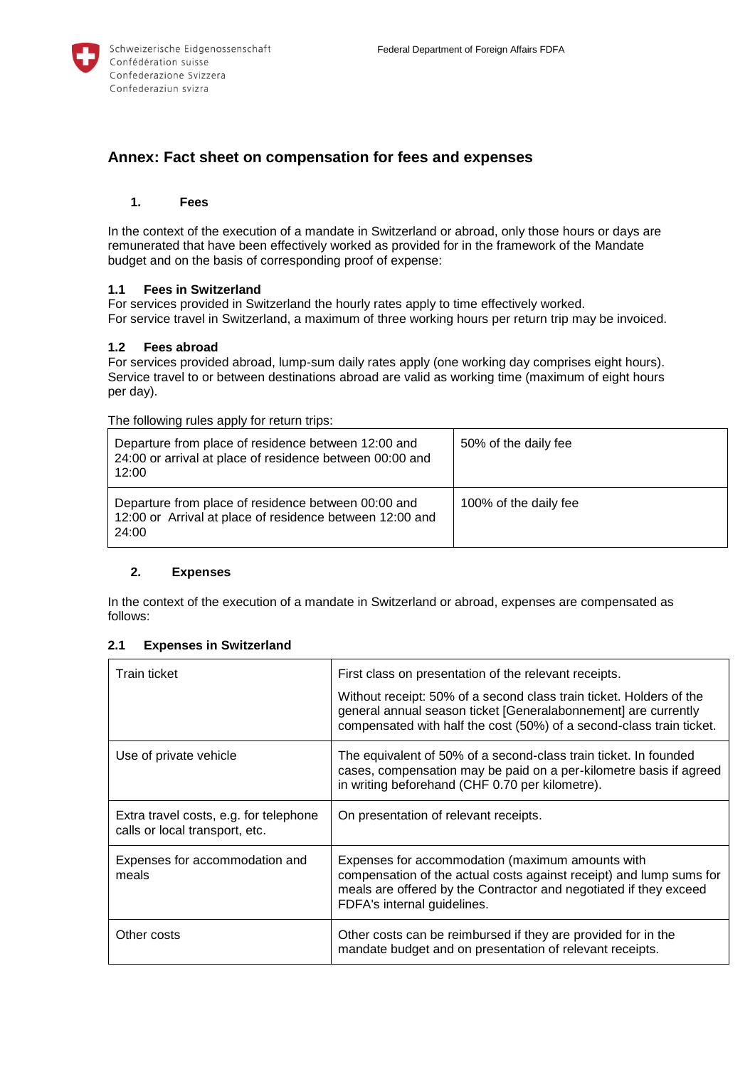

# **Annex: Fact sheet on compensation for fees and expenses**

## **1. Fees**

In the context of the execution of a mandate in Switzerland or abroad, only those hours or days are remunerated that have been effectively worked as provided for in the framework of the Mandate budget and on the basis of corresponding proof of expense:

## **1.1 Fees in Switzerland**

For services provided in Switzerland the hourly rates apply to time effectively worked. For service travel in Switzerland, a maximum of three working hours per return trip may be invoiced.

#### **1.2 Fees abroad**

For services provided abroad, lump-sum daily rates apply (one working day comprises eight hours). Service travel to or between destinations abroad are valid as working time (maximum of eight hours per day).

The following rules apply for return trips:

| Departure from place of residence between 12:00 and<br>24:00 or arrival at place of residence between 00:00 and<br>12:00 | 50% of the daily fee  |
|--------------------------------------------------------------------------------------------------------------------------|-----------------------|
| Departure from place of residence between 00:00 and<br>12:00 or Arrival at place of residence between 12:00 and<br>24:00 | 100% of the daily fee |

#### **2. Expenses**

In the context of the execution of a mandate in Switzerland or abroad, expenses are compensated as follows:

## **2.1 Expenses in Switzerland**

| Train ticket                                                             | First class on presentation of the relevant receipts.                                                                                                                                                                       |
|--------------------------------------------------------------------------|-----------------------------------------------------------------------------------------------------------------------------------------------------------------------------------------------------------------------------|
|                                                                          | Without receipt: 50% of a second class train ticket. Holders of the<br>general annual season ticket [Generalabonnement] are currently<br>compensated with half the cost (50%) of a second-class train ticket.               |
| Use of private vehicle                                                   | The equivalent of 50% of a second-class train ticket. In founded<br>cases, compensation may be paid on a per-kilometre basis if agreed<br>in writing beforehand (CHF 0.70 per kilometre).                                   |
| Extra travel costs, e.g. for telephone<br>calls or local transport, etc. | On presentation of relevant receipts.                                                                                                                                                                                       |
| Expenses for accommodation and<br>meals                                  | Expenses for accommodation (maximum amounts with<br>compensation of the actual costs against receipt) and lump sums for<br>meals are offered by the Contractor and negotiated if they exceed<br>FDFA's internal guidelines. |
| Other costs                                                              | Other costs can be reimbursed if they are provided for in the<br>mandate budget and on presentation of relevant receipts.                                                                                                   |